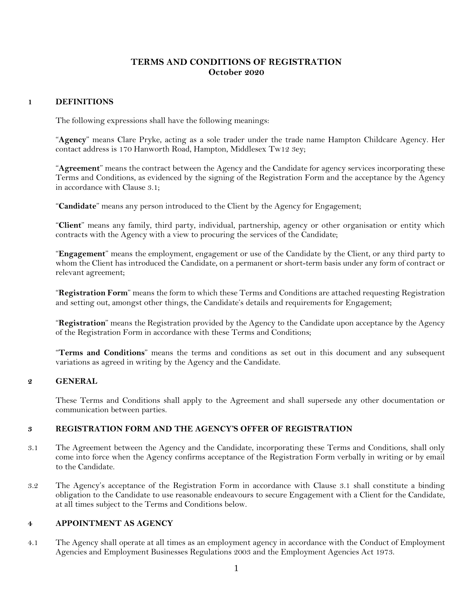# **TERMS AND CONDITIONS OF REGISTRATION October 2020**

# **1 DEFINITIONS**

The following expressions shall have the following meanings:

"**Agency**" means Clare Pryke, acting as a sole trader under the trade name Hampton Childcare Agency. Her contact address is 170 Hanworth Road, Hampton, Middlesex Tw12 3ey;

"**Agreement**" means the contract between the Agency and the Candidate for agency services incorporating these Terms and Conditions, as evidenced by the signing of the Registration Form and the acceptance by the Agency in accordance with Clause 3.1;

"**Candidate**" means any person introduced to the Client by the Agency for Engagement;

"**Client**" means any family, third party, individual, partnership, agency or other organisation or entity which contracts with the Agency with a view to procuring the services of the Candidate;

"**Engagement**" means the employment, engagement or use of the Candidate by the Client, or any third party to whom the Client has introduced the Candidate, on a permanent or short-term basis under any form of contract or relevant agreement;

"**Registration Form**" means the form to which these Terms and Conditions are attached requesting Registration and setting out, amongst other things, the Candidate's details and requirements for Engagement;

"**Registration**" means the Registration provided by the Agency to the Candidate upon acceptance by the Agency of the Registration Form in accordance with these Terms and Conditions;

"**Terms and Conditions**" means the terms and conditions as set out in this document and any subsequent variations as agreed in writing by the Agency and the Candidate.

#### **2 GENERAL**

These Terms and Conditions shall apply to the Agreement and shall supersede any other documentation or communication between parties.

### **3 REGISTRATION FORM AND THE AGENCY'S OFFER OF REGISTRATION**

- 3.1 The Agreement between the Agency and the Candidate, incorporating these Terms and Conditions, shall only come into force when the Agency confirms acceptance of the Registration Form verbally in writing or by email to the Candidate.
- 3.2 The Agency's acceptance of the Registration Form in accordance with Clause 3.1 shall constitute a binding obligation to the Candidate to use reasonable endeavours to secure Engagement with a Client for the Candidate, at all times subject to the Terms and Conditions below.

#### **4 APPOINTMENT AS AGENCY**

4.1 The Agency shall operate at all times as an employment agency in accordance with the Conduct of Employment Agencies and Employment Businesses Regulations 2003 and the Employment Agencies Act 1973.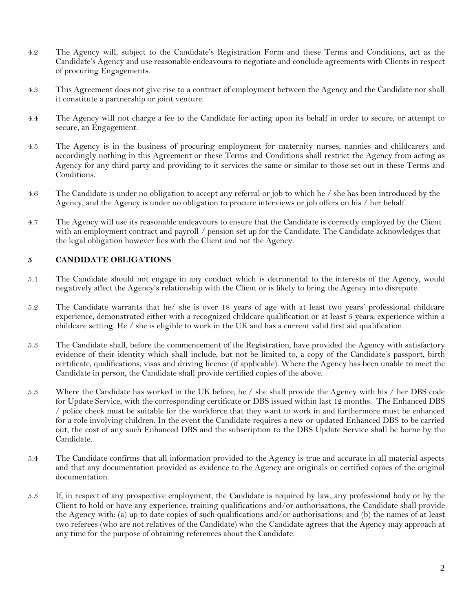- 4.2 The Agency will, subject to the Candidate's Registration Form and these Terms and Conditions, act as the Candidate's Agency and use reasonable endeavours to negotiate and conclude agreements with Clients in respect of procuring Engagements.
- 4.3 This Agreement does not give rise to a contract of employment between the Agency and the Candidate nor shall it constitute a partnership or joint venture.
- 4.4 The Agency will not charge a fee to the Candidate for acting upon its behalf in order to secure, or attempt to secure, an Engagement.
- 4.5 The Agency is in the business of procuring employment for maternity nurses, nannies and childcarers and accordingly nothing in this Agreement or these Terms and Conditions shall restrict the Agency from acting as Agency for any third party and providing to it services the same or similar to those set out in these Terms and Conditions.
- 4.6 The Candidate is under no obligation to accept any referral or job to which he / she has been introduced by the Agency, and the Agency is under no obligation to procure interviews or job offers on his / her behalf.
- 4.7 The Agency will use its reasonable endeavours to ensure that the Candidate is correctly employed by the Client with an employment contract and payroll / pension set up for the Candidate. The Candidate acknowledges that the legal obligation however lies with the Client and not the Agency.

### **5 CANDIDATE OBLIGATIONS**

- 5.1 The Candidate should not engage in any conduct which is detrimental to the interests of the Agency, would negatively affect the Agency's relationship with the Client or is likely to bring the Agency into disrepute.
- 5.2 The Candidate warrants that he/ she is over 18 years of age with at least two years' professional childcare experience, demonstrated either with a recognized childcare qualification or at least 5 years; experience within a childcare setting. He / she is eligible to work in the UK and has a current valid first aid qualification.
- 5.3 The Candidate shall, before the commencement of the Registration, have provided the Agency with satisfactory evidence of their identity which shall include, but not be limited to, a copy of the Candidate's passport, birth certificate, qualifications, visas and driving licence (if applicable). Where the Agency has been unable to meet the Candidate in person, the Candidate shall provide certified copies of the above.
- 5.3 Where the Candidate has worked in the UK before, he / she shall provide the Agency with his / her DBS code for Update Service, with the corresponding certificate or DBS issued within last 12 months. The Enhanced DBS / police check must be suitable for the workforce that they want to work in and furthermore must be enhanced for a role involving children. In the event the Candidate requires a new or updated Enhanced DBS to be carried out, the cost of any such Enhanced DBS and the subscription to the DBS Update Service shall be borne by the Candidate.
- 5.4 The Candidate confirms that all information provided to the Agency is true and accurate in all material aspects and that any documentation provided as evidence to the Agency are originals or certified copies of the original documentation.
- 5.5 If, in respect of any prospective employment, the Candidate is required by law, any professional body or by the Client to hold or have any experience, training qualifications and/or authorisations, the Candidate shall provide the Agency with: (a) up to date copies of such qualifications and/or authorisations; and (b) the names of at least two referees (who are not relatives of the Candidate) who the Candidate agrees that the Agency may approach at any time for the purpose of obtaining references about the Candidate.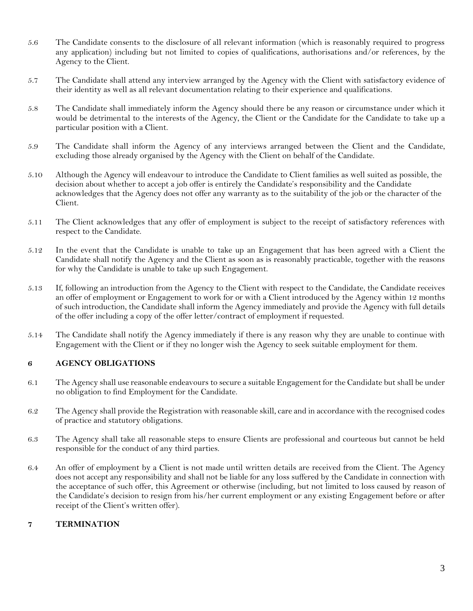- 5.6 The Candidate consents to the disclosure of all relevant information (which is reasonably required to progress any application) including but not limited to copies of qualifications, authorisations and/or references, by the Agency to the Client.
- 5.7 The Candidate shall attend any interview arranged by the Agency with the Client with satisfactory evidence of their identity as well as all relevant documentation relating to their experience and qualifications.
- 5.8 The Candidate shall immediately inform the Agency should there be any reason or circumstance under which it would be detrimental to the interests of the Agency, the Client or the Candidate for the Candidate to take up a particular position with a Client.
- 5.9 The Candidate shall inform the Agency of any interviews arranged between the Client and the Candidate, excluding those already organised by the Agency with the Client on behalf of the Candidate.
- 5.10 Although the Agency will endeavour to introduce the Candidate to Client families as well suited as possible, the decision about whether to accept a job offer is entirely the Candidate's responsibility and the Candidate acknowledges that the Agency does not offer any warranty as to the suitability of the job or the character of the Client.
- 5.11 The Client acknowledges that any offer of employment is subject to the receipt of satisfactory references with respect to the Candidate.
- 5.12 In the event that the Candidate is unable to take up an Engagement that has been agreed with a Client the Candidate shall notify the Agency and the Client as soon as is reasonably practicable, together with the reasons for why the Candidate is unable to take up such Engagement.
- 5.13 If, following an introduction from the Agency to the Client with respect to the Candidate, the Candidate receives an offer of employment or Engagement to work for or with a Client introduced by the Agency within 12 months of such introduction, the Candidate shall inform the Agency immediately and provide the Agency with full details of the offer including a copy of the offer letter/contract of employment if requested.
- 5.14 The Candidate shall notify the Agency immediately if there is any reason why they are unable to continue with Engagement with the Client or if they no longer wish the Agency to seek suitable employment for them.

# **6 AGENCY OBLIGATIONS**

- 6.1 The Agency shall use reasonable endeavours to secure a suitable Engagement for the Candidate but shall be under no obligation to find Employment for the Candidate.
- 6.2 The Agency shall provide the Registration with reasonable skill, care and in accordance with the recognised codes of practice and statutory obligations.
- 6.3 The Agency shall take all reasonable steps to ensure Clients are professional and courteous but cannot be held responsible for the conduct of any third parties.
- 6.4 An offer of employment by a Client is not made until written details are received from the Client. The Agency does not accept any responsibility and shall not be liable for any loss suffered by the Candidate in connection with the acceptance of such offer, this Agreement or otherwise (including, but not limited to loss caused by reason of the Candidate's decision to resign from his/her current employment or any existing Engagement before or after receipt of the Client's written offer).

### **7 TERMINATION**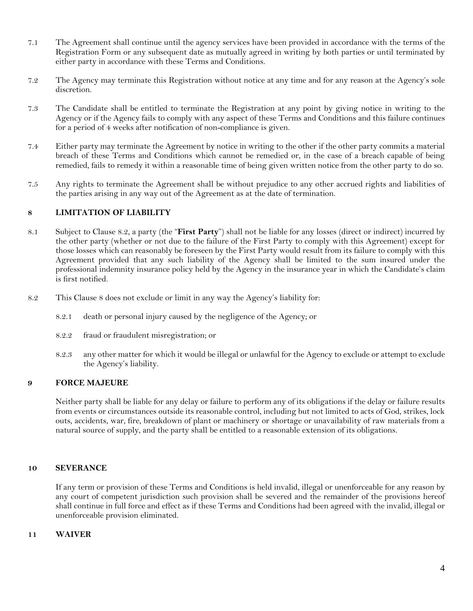- 7.1 The Agreement shall continue until the agency services have been provided in accordance with the terms of the Registration Form or any subsequent date as mutually agreed in writing by both parties or until terminated by either party in accordance with these Terms and Conditions.
- 7.2 The Agency may terminate this Registration without notice at any time and for any reason at the Agency's sole discretion.
- 7.3 The Candidate shall be entitled to terminate the Registration at any point by giving notice in writing to the Agency or if the Agency fails to comply with any aspect of these Terms and Conditions and this failure continues for a period of 4 weeks after notification of non-compliance is given.
- 7.4 Either party may terminate the Agreement by notice in writing to the other if the other party commits a material breach of these Terms and Conditions which cannot be remedied or, in the case of a breach capable of being remedied, fails to remedy it within a reasonable time of being given written notice from the other party to do so.
- 7.5 Any rights to terminate the Agreement shall be without prejudice to any other accrued rights and liabilities of the parties arising in any way out of the Agreement as at the date of termination.

# **8 LIMITATION OF LIABILITY**

- 8.1 Subject to Clause 8.2, a party (the "**First Party**") shall not be liable for any losses (direct or indirect) incurred by the other party (whether or not due to the failure of the First Party to comply with this Agreement) except for those losses which can reasonably be foreseen by the First Party would result from its failure to comply with this Agreement provided that any such liability of the Agency shall be limited to the sum insured under the professional indemnity insurance policy held by the Agency in the insurance year in which the Candidate's claim is first notified.
- 8.2 This Clause 8 does not exclude or limit in any way the Agency's liability for:
	- 8.2.1 death or personal injury caused by the negligence of the Agency; or
	- 8.2.2 fraud or fraudulent misregistration; or
	- 8.2.3 any other matter for which it would be illegal or unlawful for the Agency to exclude or attempt to exclude the Agency's liability.

### **9 FORCE MAJEURE**

Neither party shall be liable for any delay or failure to perform any of its obligations if the delay or failure results from events or circumstances outside its reasonable control, including but not limited to acts of God, strikes, lock outs, accidents, war, fire, breakdown of plant or machinery or shortage or unavailability of raw materials from a natural source of supply, and the party shall be entitled to a reasonable extension of its obligations.

#### **10 SEVERANCE**

If any term or provision of these Terms and Conditions is held invalid, illegal or unenforceable for any reason by any court of competent jurisdiction such provision shall be severed and the remainder of the provisions hereof shall continue in full force and effect as if these Terms and Conditions had been agreed with the invalid, illegal or unenforceable provision eliminated.

#### **11 WAIVER**